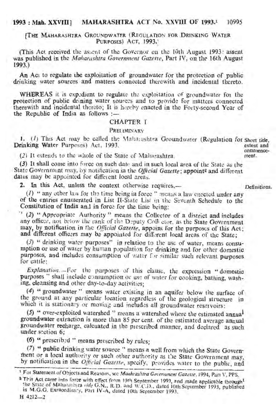# 1993 : Mah. XXVIII] MAHARASHTRA ACT No. XXVIII OF 1993.<sup>1</sup> 10995

### **[THE MAHARASHTRA GROUNDWATER (REGULATION FOR DRINKING WATER** PURPOSES) ACT, 1993.

(This Act received the as:.cnt of the Governor on the 10th August 1993: assent was published in the *Maharashtra Government Gazette,* Part IV, on the' 16th August 1993.)

An Act to regulate the exploitation of groundwater for the protection of public drinking water sources and matters connected therewith and incidental thereto.

WHEREAS it is expedient to regulate the exploitation of groundwater for the protection of public drining water sources and to provide for matters connected therewith and incidental thereto; It is hereby enacted in the Forty-second Year of the Republic of India as follows :-

# CHAPTER I

### PRELIMINARY

1. (*I*) This Act may be called the Maharashtra Groundwater (Regulation for Short title, extent and extent and Drinking Water Purposes) Act, 1993. extent and<br>commence-

(2) It extends to the whole of the State of Maharashtra.

(3) It shall come into force on such date and in such local area of the State as the State Government may, by notification in the *Official Gazette*; appoint<sup>2</sup> and different dates may be appointed for different local areas.

2. In this Act, unless the context otherwise requires,- Definitions.

 $(1)$  "any other law for the time being in force" means a law enected under any of the entries enumerated in List II-State List in the Seventh Schedule to the Constitution of India and in force for the time being;

(2) "Appropriate Authority" means the Collector of a district and includes any officer, not below the rank of the Deputy Collector, as the State Government may, by notification in the *Official Gazette*, appoint for the purposes of this Act; and different officers may be appointed for different local areas of the State;

(3) " drinking water purposes" in relation to the use of water, means consu- . mption or use of water by human population for drinking and for other domestic purposes, and includes consumption of water for similar such relevant purposes. for cattle:

*Explanation.*-For the purposes of this clause, the expression "domestic purposes" shall include consumption or use of water for cooking, bathing, washing, cleansing and other day-to-day activities;

(4) " groundwater" means water existing in an aquifer below the surface of the ground at any particular location regardless of the geological structure in which it is stationary or moving and includes all groundwater reservoirs:

 $(5)$  " over-exploited watershed" means a watershed where the estimated annual groundWater extraction is more than 85 per cent. of the estimated average annual groundwater recharge, calcuated in the prescribed manner, and declared as such under section 6:

(6) " prescribed " means prescribed by rules;

.(1) "public drinking water source" means a well from which the State Government or a local authority or such other authority as the State Government may, by notification in the *Official Gazette*, specify, provides water to the public, and

 $H$  4212-2

ment.

<sup>&</sup>lt;sup>1</sup> For Statement of Objects and Reasons, see *Maahrashtra Government Gazette*. 1994, Part V, PPS.

a This Act came into force with effect from 10th September 1993, and made applicable through<sup>t</sup> the State of Maharashtra *vide* G.N., R.D. and W.C.D., dated 10th September 1993, published in M.G.G. Exraordinary, Part IV-A, dated 10th September 1993.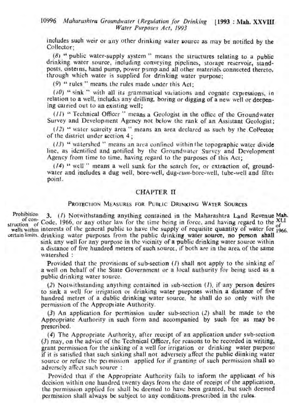includes such weir or any other drinking water source as may be notified by the Collector;

 $(8)$  " public water-supply system" means the structures relating to a public drinking water source, including conveying pipelines, storage reservoir, standposts, cistemns, hand pump, power pump and all other materials connected thereto, through which water is supplied for drinking water purpose;

(9) " rules" means the rules made under this Act;

(i0) " sink " with all its grammatical variations and cognate expressions, in relation to a well, includes any drilling, boring or digging of a new well or deepening carried out to an existing well;

*(J*1) "Technical Officer" means a Geologist in the office of thc Groundwater Survey and Development Agency not below the rank of an Assistant Geologist;

 $(12)$  " water scarcity area " means an area declared as such by the Collector of the district under section 4 ;

(13) " watershed" means an area confined within the topographic water divide line, as identified and notified by the Groundwater Survey and Development Agency from time to time, having regard to the purposes of this Act;

*(14)* " well" means a well sunk for the search for, or extraction of, groundwater and includes a dug well, bore-well, dug-cum-bore-well, tube-well and filter point.

## CHAPTER II

### PROTECTION MEASURES FOR PUBLIC DRINKING WATER SOURCES

Prontomon: 3. (1) Notwithstanding anything contained in the Maharashtra Land Revenue Mah.<br>of contained and any other law for the time being in force, and baying regard to the XLI struction of Code, 1966, or any other law for the time being in force, and having regard to the  $\sigma$ ruction of Godd; 1500, or any other have to the time being in torce; and having regard to the of

certain limits. drinking water purposes from the public drinking water source, no person shall sink any well for any purpose in the vicinity of a public drinking water source within a distance of five hundred meters of such source, if both are in the area of the same<br>watershed:

> Provided that the provisions of sub-section (1) shall not apply to the sinking of a well on behalf of the State Government or a local authurity for being used as a public drinking water source.

> $(2)$  Notwithstanding anything contained in sub-section  $(1)$ , if any person desires to sink a we/) for irrigation or drinking water purposes within a distance of five hundred metres of a dublic drinking water source, he shall do so only with the permission of the Appropriate Authority.

> (3) An application for permission under sub-section (2) shall be made to the Appropriate Authority in such form and accompanied by such fee as may be prescribed.

> (4) The Appropriate Authority; after receipt of an application under sub-section (3) may, on the advice of the Technical Officer, for reasons to be recorded in writing; grant permission for the sinking of a well for irrigation. or drinking water purpose if it is satisfied that such sinking shall not adverselYaffect the public diinking water source or refuse the permission applied for if granting of such permission shall so. adversely affect such source:

> Provided that if the Appropriate Authority fails to inform the applicant of his decision within one hundred twenty days from the date of receipt of the application, the permission applied for shall be deemed to have been granted, but such deemed permission shall always be subject to any conditions.prescribed in the rules.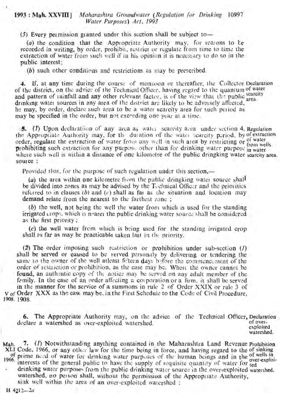### 1993: Mah.xxvm] *Maharashtra Groundwater (Regulation [or Drinking* 10997 *Water Purposes) Act,* 1993

 $(5)$  Every permission granted under this section shall be subject to-

*(a)* the condition that the Appropriate Authority may, for reawns to be recorded in writing, by order, prohibit, restrict or regulate from time to time the extraction of water from such well if in his opinion it is necessary to do so in the public interest:

*(b)* such other conditions and restrictions as may be prescribed.

4. If, at any time during the course of monsoon or thereafter, the Collector Declaration of the district, on the advice of the Technical Officer, having regard to the quantum of water and pattern of rainfall and any other relevant factor, is of the view that the public scarcity drugs areadrinking water sources in any area of the district are likely to be adversely affected, he may, by order, declare such area to be a water scarcity area for such period as may be specified in the order, but not exceeding one year at a time.

 $-5$ . (1) Upon declaration of any area as water scarrity area under section 4, Regulation the Approptiate Authority may, for the duration of the watel scarcity period, by of extraction order, regulate the extraction of water from any well in such area by restricting or of water prohibiting such extraction for any purpose other than for drinking water purpose in water where such well is within a distance of one kilometre of the public dringking water scarcity area. source:

Provided that, for the purpose of such regulation under this section,-

(a) the area within one kilometre from the public dringking water source shall be divided into zones as may be advised by the Technical Officer and the priorities referred to in clauses (b) and  $(c)$  shall as far as the situation and location may demand relate from the nearest to the farthest zone;

*(b)* the weH,not being the well the water from which is used for the standing irrigated crops, which is nearer the public drinking water source shall be considered as the first priority;

*(c)* the well water from which is being used for the standing irrigated crop shall as far as may be practicable taken last in the priority.

(2) The order imposing such restriction or prohibition under sub-section  $(I)$ shall be served or caused to be served personaly by delivering or tendering the same to the owner of the well atleast fifteen days before the commencement of the order of restriction or prohibition, as the case may be. Whert the owner cannot be found, an authentic copy of the notice may be served on any adult member of the femily. In the case of an order affecting a corporation or a firm, it shall be served in the manner for the service of a summons in rule 2 of Order  $XXIX$  or rule 3 of

 $V$  of Order XXX as the case-may be, in the First Schedule to the Code of Civil Procedure, 1908.1908.

6. The Appropriate Authority may, on the advice of the Technical Officer, Declaration of overdeclare a watershed as over-exploited watershed. exploited

watershed.

Mah. 7. (1) Notwithstanding anything contained in the Maharashtra Land Revenue Prohibition XLI Code, 1966, or any other law for the time being in force, and having regard to the of sinking of prime need of water for drinking water purposes of the human beings and in the of wells in<br>1966. interests of the general public to have the supply of requisite quantity of water for ted

drinking water purposes from the public drinking water source in the over-exploited watershed. watershed, no person shall, without the permission of the Appropriate Authority, sink well within the area of an over-exploited watershed:

H *4212-2a*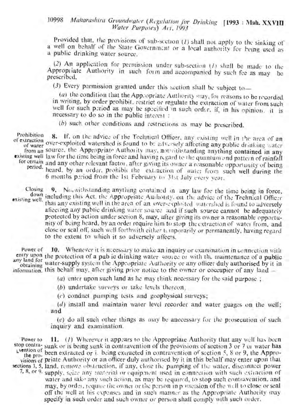# <sup>10998</sup> *Maharashtra Groundwater (Regulation jor Drinking* [1993: Mah. XXVID *Water Purposes) Act,* -1993

Provided that, the provisions of sub-section (1) shall not apply to the sinking of a well on behalf of the State Government or a local authority for being med as a public drinking water Source,

(2) An application for permission under sub-section (1) shall be made to the Appropriate Authority in such form and accompanied by such fee as may be prescribed.

(3) Every permission granted under this section shall be subject to-

(a) the condition that the Appropriate Authority may, for reasons to be recorded in writing, by order prohibit, restrict or regulate the extraction of water from such well for such period as may be specified in such order, if, in his opinion, it is necessary to do so in the public interest:

*(b)* such other conditions and restrictions as may be prescribed,

Prohibition 8. If, on the advice of the Technical Officer, any existing well in the area of an of extraction of the duvice of the technical Officer, any existing well in the area of an<br>of water over-exploited watershed is found to be adversely affecting any public drinking water<br>from an source, the Appropriate Autho existing well law for the time being in force and having regard to the quantum and pattern of rainfall for certain and any other relevant factor, after giving its owner a reasonable opportunity of being period, heard, by an order, prohibit the extraction of wate: from such well during the  $6$  months pariod from the 1st February to 31st July every year.

Closing 9. No, withstanding anything contained in any law for the time being in force,<br>isting well, including this Act, the Appropriate Authority, on the advice of the Technical Officer existing well, including this Act, the Appropriate Authority, on the advice of the Technical Officer that any existing well in the area of an over-exploited watershed is found to adversely afiecting any public drinking water source and if such source cannot be adequately protected by action under section 8, may, after giving its owner a reasonable opportunityof being heard, by an order require him to stop the extraction of warei from, and close or seal oft', such well forthwith either temporarily or permanently, having regard to the extent to which it so adversely aftects,

Power of 10. Whenever it is necessary to make an inquiry or examination in connection with entry upon the protection of a public drinking water source or with the maintenance of a public any land for the protection of a pub ic drinking water source or with the maintenance of a publi obtaining water-supply system the Appropriate Authority or any officer duly authorised by it in information, this behalf may, after giving prior notice to the owner or coccupier of any land-

*(a)* enter upon such land as he may think necessary for the said purpose;

*(b)* undertake surveys or take levels thereon,

*(c)* conduct pumping tests and geophysical surveys;

*(d)* install and maintain water level recorder and water guages on the well; and

*(e)* do all such other things as may be anecessary for the prosecution of such inquiry and examination,

Power to  $11.$  (1) Wherever it appears to the Appropriate Authority that any well has been stop contra-sunk or is being sunk in contravention of the provisions of section 3 or 7 or water has Lyention of been extracted or i, being extracted in contravention of section 5, 8 or 9, the Appro-<br>visions of priate Authority or an officer duly authorised by it in this behalf may enter upon that sections 3, 5, land, remove obstruction, if any, close the pumping of the water, disconnect power 7,8, or 9, supply, seize any material or equipment used in connection with such extraction of

water and take any such action, as may be required, to stop such contravention, and may, by order, require the owner or the person in p issession of the well to close or seal off the well at his expenses and in such manner as the Appropriate Authority may specify in such order and such owner or person shall comply with such order.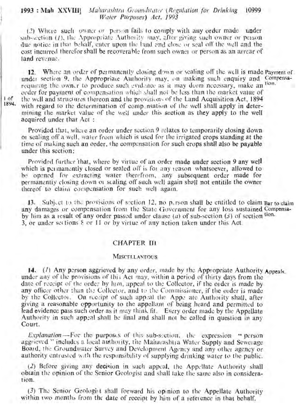### 1993 : Mah XXVIII] Maharashtra Groundwater (Regulation for Drinking 10999 *Waler Purposes) Act,* 1993

(2) Where such owner or person fails to comply with any order made under sub-section  $(I)$ , the Appropriate Authority may, after giving such owner or person duc notice in that behalf, enter upon the land and closc or seal off the well and the cost incurred therefor shall be recoverable from such owner or person as an arrear of land revenue.

12. Where an order of permanently closing down or sealing off the well is made Payment of under section 9, the Appropriate Authority may, on making such enquiry and Compensarequiring the owner to produce such evidence as it may deem necessary, make an tion. order for payment of compensation which shall not be less than the market value of 1 of the well and structures thereon and the provisions of the Land Acquisition Act, 1894. with regard to the determination of comp. nsation of the well shall apply in determining the market value of the wel] under this section as they apply to the weIl acquired under that Act:

Provided that, where an order under section 9 relates to temporarily closing down 01 sealing off a we!], water from which is used for the irrigated crops standing at <the time of making such an order, the compensation for such crops shall also be payable under this section:

Provided further 'that, where by virtue of an order made under section 9 any well which is permanently closed or sealed off is for any reason whatsoever, allowed to be opened for extracting water therefrom, any subsequent order made for permanently closing down of scaling off such well again shall not entitle the owner thereof to claim compensation for such well again.

13. Subject to the provisions of section 12, no p, rson shall be entitled to claim Bar to claim any damages or compensation from the State Government for any loss sustained Compensaby him as a result of any order passed under clause  $(a)$  of sub-section  $(s)$  of section tion. 3,.or under set tions 8 or 1f or by virtue of any action taken under this Act.

# CHAPTER IJl

#### **MISCELLANEOUS**

]4. (1) Any person aggrieved by any order, made by the Appropriate Authority Appeals. under any of the provisions of thi; Act may, within a period of thirty days from the date of receipt of the order by him, appea] to the CoJlector, if the order is made by any officer other than the Collector, and to the Commissioner, if the older is made by the Collector. On receipt of such appeal the Appe ate Authority shall, after giving a reasonable opportunity to the appellant of being heard and permitted to lead evidence pass such order as it may think fit. Every order made by the Appellate Authority in such appeal shall be final and shall not be caJled in question in any Court.

*Explanation*-For the purposes of this sub-section, the expression "person aggrieved" includes a local authority, the Maharashtra Water Supply and Sewerage Board, the Groundwater Survey and Development Agency and any other agency or authority entrusted with the responsibility of supplying drinking water to the public.

(2) Before giving any decision in such appeal, the Appellate Authority shall obtain the opinion of the Senior Geologist and shall take the same also in consideration.

(3) The Senior Geologif t shall forward his opinion to the Appellate Authority within two months from the date of receipt by him of a reference in that behalf.

~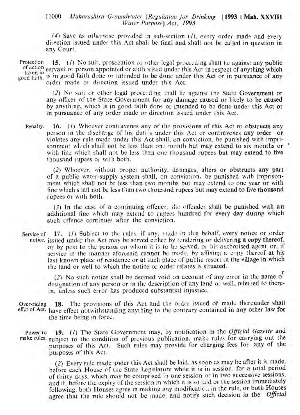## 11000 Maharashtra Groundwater (Regulation for Drinking [1993 : Mah. XXVII] *Water Purpose) Act.* 1993 .

(4) Save as otherwise provided in sub-section (1), every order made and every direction issued under this Act shall be final and shall not be called in question in any Court.

Protection 15. (*1*) No suit, prosecution or other legal proceeding shall tie against any public of action servant or person appointed or auth vised under this Act in respect of anything which taken in servant or person appointed or authorised under this Act in respect of anything which good faith. <sup>18</sup> in good faith done or intended to be done under this Act or in pursuance of any<br>order made or direction issued under this Act.

> (2) No suit or other legal proceeding shall lie against the State Government or any officer of the State Government for any damage caused or likely to be caused by anything, which is in good faith done or intended to be done under this Act or in pursuance of any order made or direction issued under this Act.

Penalty. 16. (1) Whoever contravenes any of the provisions of this Act or obstructs any person in the discharge of his duties under this Act or contravenes any order or violates any rule made under this Act shall, on conviction, be punished with imprisonment which shall not be less than on.: month but may extend to six months or  $\cdot$ with fine which shall not be less than one thousand rupees but may extend to five thousand rupees or with both.

(2) Whoever, without proper authority, damages, alters or obstructs any part of a public water-supply system shall, on conviction, be punished w.th imprisonment which shall not be less than two months but may extend to one year or with fine which shall not be less than two thousand rupees but may extend to five thousand rupees or with both.

 $(3)$  In the case of a continuing offence, the offender shall be punished with an additional fine which may extend to rupees hundred for every day during which such offence continues after the conviction.

Service of  $\left( 17. \right)$  (1) Subject to the rules, if any, made in this behalf, every notice or order notice. issued under this Act may be served either by tendering or delivering a copy thereof, or by post to the person on whom it is to be served, or his authorised agent or, if service in the manner aforesaid cannot be made, by affixing a copy thereof at his last known place of residence or at such place of public resort in the village in which the land or well to which the notice or order relates is situated.

> (2) No such notice shall be deemed void on account of any error in the name of designation of any person or in the description of any land or well, referred to therein, unless such error has produced substantial injustice.

Over-riding 18. The provisions of this Act and the order issued of made thereunder shall effet of Act. have effect notwithstanding anything to the contrary contained in any other law for the time being in force.

Power to 19. (1) The State Government may, by notification in the *Official Gazette* and make rules. subject to the condition of previous publication, make rules for carrying out the purposes of this Act. Such rules may provide for charging fees for any of the purposes of this Act.

> (2) Every rule made under this Act shall be laid, as soon as may be after it is made, before each House of the State Legislature while it is in session, for a total period of thirty days, which may be comprised in one session or in two successive sessions, and if, before the expiry of the session in which it is so laid or the session immediately following, both Houses agree in making any modificatic, in the rule, or both Houses agree that the rule should not be made, and notify such decision in the *Official*